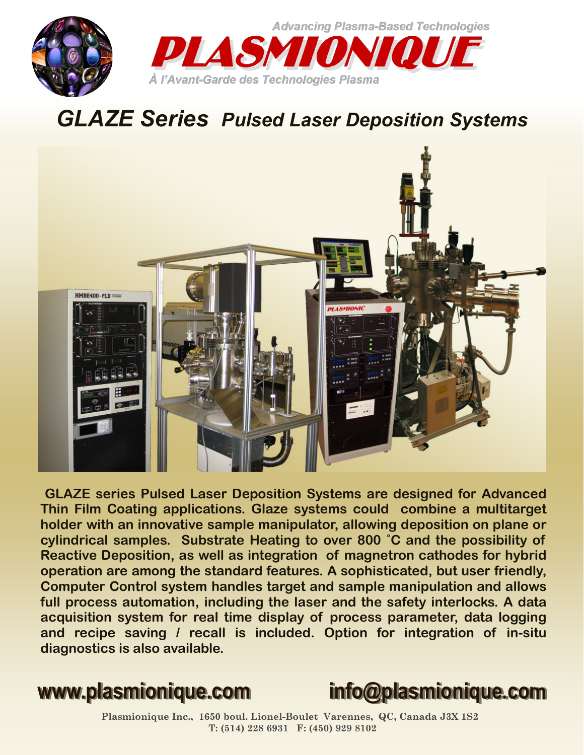

## *GLAZE Series Pulsed Laser Deposition Systems*



**GLAZE series Pulsed Laser Deposition Systems are designed for Advanced Thin Film Coating applications. Glaze systems could combine a multitarget holder with an innovative sample manipulator, allowing deposition on plane or cylindrical samples. Substrate Heating to over 800 ˚C and the possibility of Reactive Deposition, as well as integration of magnetron cathodes for hybrid operation are among the standard features. A sophisticated, but user friendly, Computer Control system handles target and sample manipulation and allows full process automation, including the laser and the safety interlocks. A data acquisition system for real time display of process parameter, data logging and recipe saving / recall is included. Option for integration of in-situ diagnostics is also available.**



**Plasmionique Inc., 1650 boul. Lionel-Boulet Varennes, QC, Canada J3X 1S2 T: (514) 228 6931 F: (450) 929 8102**